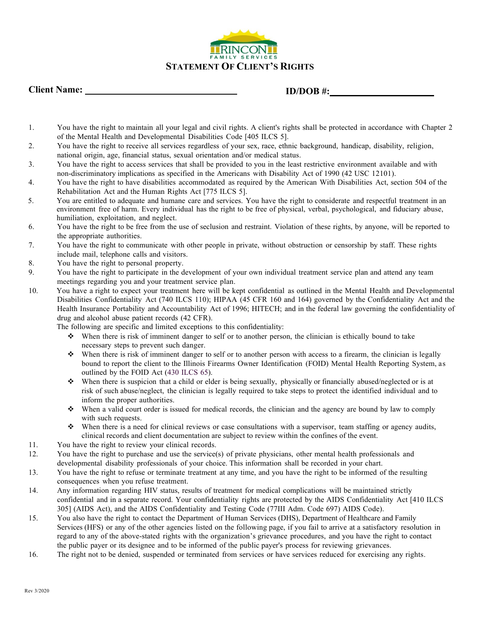

## **Client Name: ID/DOB #:**

- 1. You have the right to maintain all your legal and civil rights. A client's rights shall be protected in accordance with Chapter 2 of the Mental Health and Developmental Disabilities Code [405 ILCS 5].
- 2. You have the right to receive all services regardless of your sex, race, ethnic background, handicap, disability, religion, national origin, age, financial status, sexual orientation and/or medical status.
- 3. You have the right to access services that shall be provided to you in the least restrictive environment available and with non-discriminatory implications as specified in the Americans with Disability Act of 1990 (42 USC 12101).
- 4. You have the right to have disabilities accommodated as required by the American With Disabilities Act, section 504 of the Rehabilitation Act and the Human Rights Act [775 ILCS 5].
- 5. You are entitled to adequate and humane care and services. You have the right to considerate and respectful treatment in an environment free of harm. Every individual has the right to be free of physical, verbal, psychological, and fiduciary abuse, humiliation, exploitation, and neglect.
- 6. You have the right to be free from the use of seclusion and restraint. Violation of these rights, by anyone, will be reported to the appropriate authorities.
- 7. You have the right to communicate with other people in private, without obstruction or censorship by staff. These rights include mail, telephone calls and visitors.
- 8. You have the right to personal property.
- 9. You have the right to participate in the development of your own individual treatment service plan and attend any team meetings regarding you and your treatment service plan.
- 10. You have a right to expect your treatment here will be kept confidential as outlined in the Mental Health and Developmental Disabilities Confidentiality Act (740 ILCS 110); HIPAA (45 CFR 160 and 164) governed by the Confidentiality Act and the Health Insurance Portability and Accountability Act of 1996; HITECH; and in the federal law governing the confidentiality of drug and alcohol abuse patient records (42 CFR).

The following are specific and limited exceptions to this confidentiality:

- v When there is risk of imminent danger to self or to another person, the clinician is ethically bound to take necessary steps to prevent such danger.
- $\bullet$  When there is risk of imminent danger to self or to another person with access to a firearm, the clinician is legally bound to report the client to the Illinois Firearms Owner Identification (FOID) Mental Health Reporting System, as outlined by the FOID Act (430 ILCS 65).
- $\bullet$  When there is suspicion that a child or elder is being sexually, physically or financially abused/neglected or is at risk of such abuse/neglect, the clinician is legally required to take steps to protect the identified individual and to inform the proper authorities.
- $\bullet$  When a valid court order is issued for medical records, the clinician and the agency are bound by law to comply with such requests.
- $\bullet$  When there is a need for clinical reviews or case consultations with a supervisor, team staffing or agency audits, clinical records and client documentation are subject to review within the confines of the event.
- 11. You have the right to review your clinical records.
- 12. You have the right to purchase and use the service(s) of private physicians, other mental health professionals and developmental disability professionals of your choice. This information shall be recorded in your chart.
- 13. You have the right to refuse or terminate treatment at any time, and you have the right to be informed of the resulting consequences when you refuse treatment.
- 14. Any information regarding HIV status, results of treatment for medical complications will be maintained strictly confidential and in a separate record. Your confidentiality rights are protected by the AIDS Confidentiality Act [410 ILCS 305] (AIDS Act), and the AIDS Confidentiality and Testing Code (77III Adm. Code 697) AIDS Code).
- 15. You also have the right to contact the Department of Human Services (DHS), Department of Healthcare and Family Services (HFS) or any of the other agencies listed on the following page, if you fail to arrive at a satisfactory resolution in regard to any of the above-stated rights with the organization's grievance procedures, and you have the right to contact the public payer or its designee and to be informed of the public payer's process for reviewing grievances.
- 16. The right not to be denied, suspended or terminated from services or have services reduced for exercising any rights.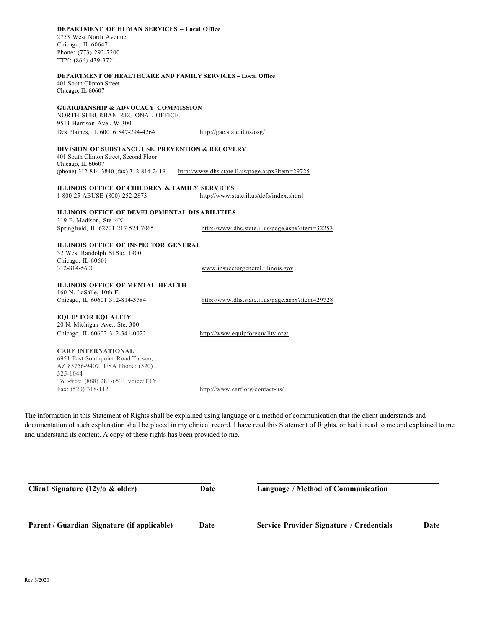| Chicago, IL 60647<br>Phone: (773) 292-7200                                                                          |                                                                                                                                                         |
|---------------------------------------------------------------------------------------------------------------------|---------------------------------------------------------------------------------------------------------------------------------------------------------|
| TTY: (866) 439-3721                                                                                                 |                                                                                                                                                         |
| <b>DEPARTMENT OF HEALTHCARE AND FAMILY SERVICES – Local Office</b><br>401 South Clinton Street<br>Chicago, IL 60607 |                                                                                                                                                         |
| <b>GUARDIANSHIP &amp; ADVOCACY COMMISSION</b><br>NORTH SUBURBAN REGIONAL OFFICE<br>9511 Harrison Ave., W 300        |                                                                                                                                                         |
| Des Plaines, IL 60016 847-294-4264                                                                                  | http://gac.state.il.us/osg/                                                                                                                             |
| DIVISION OF SUBSTANCE USE, PREVENTION & RECOVERY<br>401 South Clinton Street, Second Floor<br>Chicago, IL 60607     |                                                                                                                                                         |
| (phone) 312-814-3840 (fax) 312-814-2419                                                                             | http://www.dhs.state.il.us/page.aspx?item=29725                                                                                                         |
| ILLINOIS OFFICE OF CHILDREN & FAMILY SERVICES                                                                       |                                                                                                                                                         |
| 1 800 25 ABUSE (800) 252-2873                                                                                       | http://www.state.il.us/dcfs/index.shtml                                                                                                                 |
| ILLINOIS OFFICE OF DEVELOPMENTAL DISABILITIES<br>319 E. Madison, Ste. 4N                                            |                                                                                                                                                         |
| Springfield, IL 62701 217-524-7065                                                                                  | http://www.dhs.state.il.us/page.aspx?item=32253                                                                                                         |
| <b>ILLINOIS OFFICE OF INSPECTOR GENERAL</b><br>32 West Randolph St.Ste. 1900<br>Chicago, IL 60601                   |                                                                                                                                                         |
| 312-814-5600                                                                                                        | www.inspectorgeneral.illinois.gov                                                                                                                       |
| ILLINOIS OFFICE OF MENTAL HEALTH<br>160 N. LaSalle, 10th Fl.                                                        |                                                                                                                                                         |
| Chicago, IL 60601 312-814-3784                                                                                      | http://www.dhs.state.il.us/page.aspx?item=29728                                                                                                         |
| <b>EQUIP FOR EQUALITY</b><br>20 N. Michigan Ave., Ste. 300                                                          |                                                                                                                                                         |
| Chicago, IL 60602 312-341-0022                                                                                      | http://www.equipforequality.org/                                                                                                                        |
| <b>CARF INTERNATIONAL</b><br>6951 East Southpoint Road Tucson,<br>AZ 85756-9407, USA Phone: (520)<br>325-1044       |                                                                                                                                                         |
| Toll-free: (888) 281-6531 voice/TTY<br>Fax: (520) 318-112                                                           | http://www.carf.org/contact-us/                                                                                                                         |
|                                                                                                                     | The information in this Statement of Rights shall be explained using language or a method of communication that the client understands and              |
|                                                                                                                     | documentation of such explanation shall be placed in my clinical record. I have read this Statement of Rights, or had it read to me and explained to me |

| Client Signature $(12y/\sigma \&$ older)    | Date | Language / Method of Communication              |      |
|---------------------------------------------|------|-------------------------------------------------|------|
| Parent / Guardian Signature (if applicable) | Date | <b>Service Provider Signature / Credentials</b> | Date |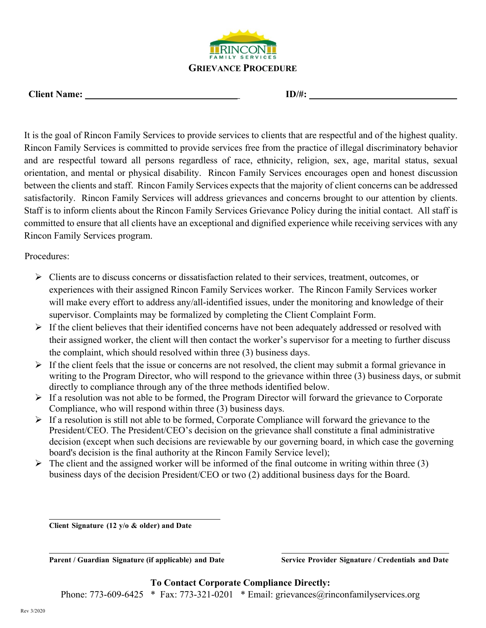

It is the goal of Rincon Family Services to provide services to clients that are respectful and of the highest quality. Rincon Family Services is committed to provide services free from the practice of illegal discriminatory behavior and are respectful toward all persons regardless of race, ethnicity, religion, sex, age, marital status, sexual orientation, and mental or physical disability. Rincon Family Services encourages open and honest discussion between the clients and staff. Rincon Family Services expects that the majority of client concerns can be addressed satisfactorily. Rincon Family Services will address grievances and concerns brought to our attention by clients. Staff is to inform clients about the Rincon Family Services Grievance Policy during the initial contact. All staff is committed to ensure that all clients have an exceptional and dignified experience while receiving services with any Rincon Family Services program.

Procedures:

- Ø Clients are to discuss concerns or dissatisfaction related to their services, treatment, outcomes, or experiences with their assigned Rincon Family Services worker. The Rincon Family Services worker will make every effort to address any/all-identified issues, under the monitoring and knowledge of their supervisor. Complaints may be formalized by completing the Client Complaint Form.
- $\triangleright$  If the client believes that their identified concerns have not been adequately addressed or resolved with their assigned worker, the client will then contact the worker's supervisor for a meeting to further discuss the complaint, which should resolved within three (3) business days.
- $\triangleright$  If the client feels that the issue or concerns are not resolved, the client may submit a formal grievance in writing to the Program Director, who will respond to the grievance within three (3) business days, or submit directly to compliance through any of the three methods identified below.
- $\triangleright$  If a resolution was not able to be formed, the Program Director will forward the grievance to Corporate Compliance, who will respond within three (3) business days.
- $\triangleright$  If a resolution is still not able to be formed, Corporate Compliance will forward the grievance to the President/CEO. The President/CEO's decision on the grievance shall constitute a final administrative decision (except when such decisions are reviewable by our governing board, in which case the governing board's decision is the final authority at the Rincon Family Service level);
- $\triangleright$  The client and the assigned worker will be informed of the final outcome in writing within three (3) business days of the decision President/CEO or two (2) additional business days for the Board.

**Client Signature (12 y/o & older) and Date**

**Parent / Guardian Signature (if applicable) and Date Service Provider Signature / Credentials and Date**

# **To Contact Corporate Compliance Directly:**

Phone: 773-609-6425 \* Fax: 773-321-0201 \* Email: grievances@rinconfamilyservices.org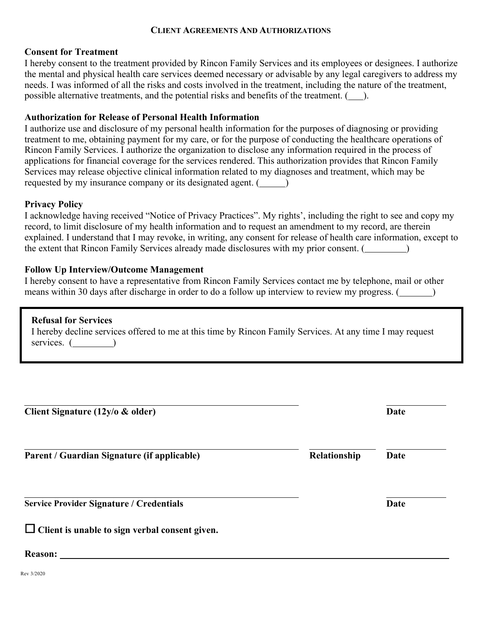## **CLIENT AGREEMENTS AND AUTHORIZATIONS**

## **Consent for Treatment**

I hereby consent to the treatment provided by Rincon Family Services and its employees or designees. I authorize the mental and physical health care services deemed necessary or advisable by any legal caregivers to address my needs. I was informed of all the risks and costs involved in the treatment, including the nature of the treatment, possible alternative treatments, and the potential risks and benefits of the treatment. ( ).

# **Authorization for Release of Personal Health Information**

I authorize use and disclosure of my personal health information for the purposes of diagnosing or providing treatment to me, obtaining payment for my care, or for the purpose of conducting the healthcare operations of Rincon Family Services. I authorize the organization to disclose any information required in the process of applications for financial coverage for the services rendered. This authorization provides that Rincon Family Services may release objective clinical information related to my diagnoses and treatment, which may be requested by my insurance company or its designated agent. (
(

# **Privacy Policy**

I acknowledge having received "Notice of Privacy Practices". My rights', including the right to see and copy my record, to limit disclosure of my health information and to request an amendment to my record, are therein explained. I understand that I may revoke, in writing, any consent for release of health care information, except to the extent that Rincon Family Services already made disclosures with my prior consent. ()

## **Follow Up Interview/Outcome Management**

I hereby consent to have a representative from Rincon Family Services contact me by telephone, mail or other means within 30 days after discharge in order to do a follow up interview to review my progress. (
(

## **Refusal for Services**

I hereby decline services offered to me at this time by Rincon Family Services. At any time I may request services. ()

| Client Signature ( $12y/\sigma$ & older)              |              | Date |
|-------------------------------------------------------|--------------|------|
| Parent / Guardian Signature (if applicable)           | Relationship | Date |
| <b>Service Provider Signature / Credentials</b>       |              | Date |
| $\Box$ Client is unable to sign verbal consent given. |              |      |
| <b>Reason:</b>                                        |              |      |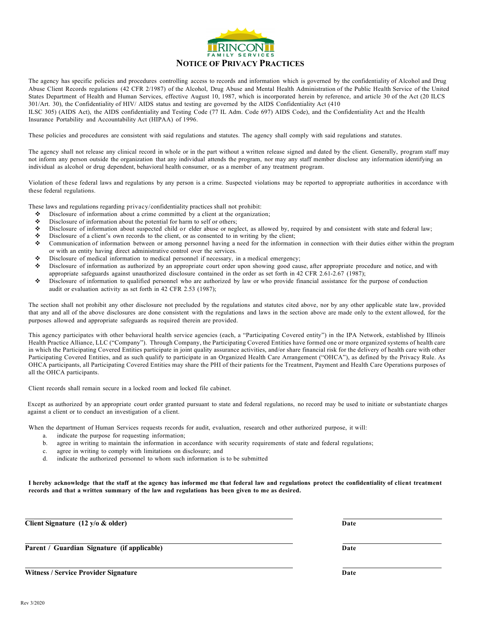

The agency has specific policies and procedures controlling access to records and information which is governed by the confidentiality of Alcohol and Drug Abuse Client Records regulations (42 CFR 2/1987) of the Alcohol, Drug Abuse and Mental Health Administration of the Public Health Service of the United States Department of Health and Human Services, effective August 10, 1987, which is incorporated herein by reference, and article 30 of the Act (20 ILCS 301/Art. 30), the Confidentiality of HIV/ AIDS status and testing are governed by the AIDS Confidentiality Act (410 ILSC 305) (AIDS Act), the AIDS confidentiality and Testing Code (77 IL Adm. Code 697) AIDS Code), and the Confidentiality Act and the Health Insurance Portability and Accountability Act (HIPAA) of 1996.

These policies and procedures are consistent with said regulations and statutes. The agency shall comply with said regulations and statutes.

The agency shall not release any clinical record in whole or in the part without a written release signed and dated by the client. Generally, program staff may not inform any person outside the organization that any individual attends the program, nor may any staff member disclose any information identifying an individual as alcohol or drug dependent, behavioral health consumer, or as a member of any treatment program.

Violation of these federal laws and regulations by any person is a crime. Suspected violations may be reported to appropriate authorities in accordance with these federal regulations.

These laws and regulations regarding privacy/confidentiality practices shall not prohibit:

- $\bullet$  Disclosure of information about a crime committed by a client at the organization;
- **b** Disclosure of information about the potential for harm to self or others;<br>Disclosure of information about suspected child or elder abuse or negotial
- bisclosure of information about suspected child or elder abuse or neglect, as allowed by, required by and consistent with state and federal law;<br>Disclosure of a client's own records to the client or as consented to in writ
- $\bullet$  Disclosure of a client's own records to the client, or as consented to in writing by the client;<br>Communication of information between or among personnel having a need for the information
- v Communication of information between or among personnel having a need for the information in connection with their duties either within the program or with an entity having direct administrative control over the services.
- v Disclosure of medical information to medical personnel if necessary, in a medical emergency;
- v Disclosure of information as authorized by an appropriate court order upon showing good cause, after appropriate procedure and notice, and with appropriate safeguards against unauthorized disclosure contained in the order as set forth in 42 CFR 2.61-2.67 (1987);
- $\bullet$  Disclosure of information to qualified personnel who are authorized by law or who provide financial assistance for the purpose of conduction audit or evaluation activity as set forth in 42 CFR 2.53 (1987);

The section shall not prohibit any other disclosure not precluded by the regulations and statutes cited above, nor by any other applicable state law, provided that any and all of the above disclosures are done consistent with the regulations and laws in the section above are made only to the extent allowed, for the purposes allowed and appropriate safeguards as required therein are provided.

This agency participates with other behavioral health service agencies (each, a "Participating Covered entity") in the IPA Network, established by Illinois Health Practice Alliance, LLC ("Company"). Through Company, the Participating Covered Entities have formed one or more organized systems of health care in which the Participating Covered Entities participate in joint quality assurance activities, and/or share financial risk for the delivery of health care with other Participating Covered Entities, and as such qualify to participate in an Organized Health Care Arrangement ("OHCA"), as defined by the Privacy Rule. As OHCA participants, all Participating Covered Entities may share the PHI of their patients for the Treatment, Payment and Health Care Operations purposes of all the OHCA participants.

Client records shall remain secure in a locked room and locked file cabinet.

Except as authorized by an appropriate court order granted pursuant to state and federal regulations, no record may be used to initiate or substantiate charges against a client or to conduct an investigation of a client.

When the department of Human Services requests records for audit, evaluation, research and other authorized purpose, it will:

- a. indicate the purpose for requesting information;
- b. agree in writing to maintain the information in accordance with security requirements of state and federal regulations;
- c. agree in writing to comply with limitations on disclosure; and
- d. indicate the authorized personnel to whom such information is to be submitted

I hereby acknowledge that the staff at the agency has informed me that federal law and regulations protect the confidentiality of client treatment **records and that a written summary of the law and regulations has been given to me as desired.**

**Client Signature (12 y/o & older) Date**

**Parent / Guardian Signature (if applicable) Date**

**Witness / Service Provider Signature Date**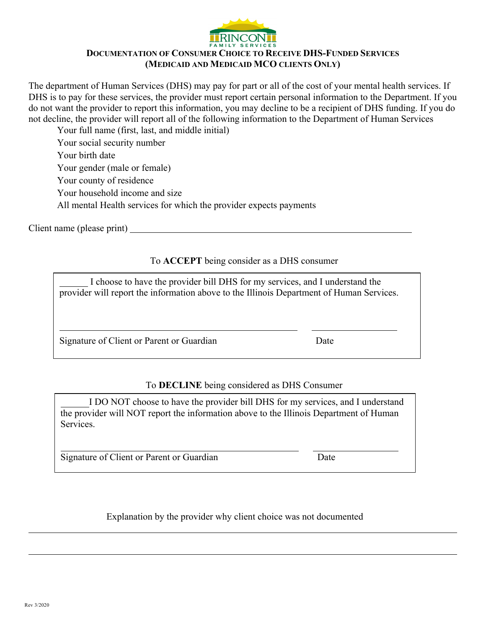

# **DOCUMENTATION OF CONSUMER CHOICE TO RECEIVE DHS-FUNDED SERVICES (MEDICAID AND MEDICAID MCO CLIENTS ONLY)**

The department of Human Services (DHS) may pay for part or all of the cost of your mental health services. If DHS is to pay for these services, the provider must report certain personal information to the Department. If you do not want the provider to report this information, you may decline to be a recipient of DHS funding. If you do not decline, the provider will report all of the following information to the Department of Human Services

 Your full name (first, last, and middle initial) Your social security number Your birth date Your gender (male or female) Your county of residence Your household income and size All mental Health services for which the provider expects payments

Client name (please print)

# To **ACCEPT** being consider as a DHS consumer

I choose to have the provider bill DHS for my services, and I understand the provider will report the information above to the Illinois Department of Human Services.

Signature of Client or Parent or Guardian Date

# To **DECLINE** being considered as DHS Consumer

I DO NOT choose to have the provider bill DHS for my services, and I understand the provider will NOT report the information above to the Illinois Department of Human Services.

Signature of Client or Parent or Guardian Date

# Explanation by the provider why client choice was not documented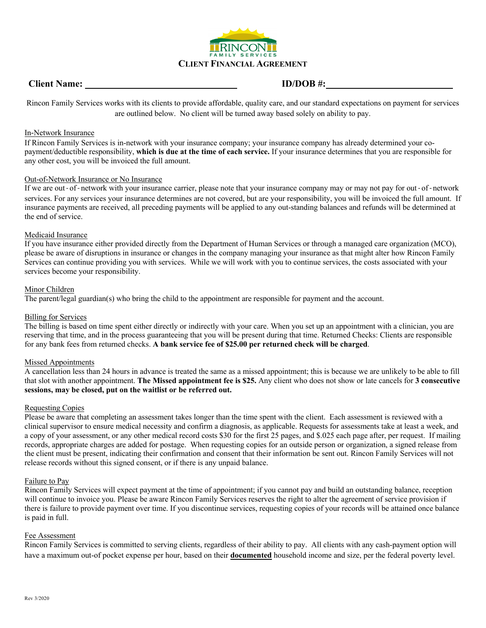

## **Client Name: ID/DOB #:**

Rincon Family Services works with its clients to provide affordable, quality care, and our standard expectations on payment for services are outlined below. No client will be turned away based solely on ability to pay.

### In-Network Insurance

If Rincon Family Services is in-network with your insurance company; your insurance company has already determined your copayment/deductible responsibility, **which is due at the time of each service.** If your insurance determines that you are responsible for any other cost, you will be invoiced the full amount.

### Out-of-Network Insurance or No Insurance

If we are out-of-network with your insurance carrier, please note that your insurance company may or may not pay for out-of-network services. For any services your insurance determines are not covered, but are your responsibility, you will be invoiced the full amount. If insurance payments are received, all preceding payments will be applied to any out-standing balances and refunds will be determined at the end of service.

### Medicaid Insurance

If you have insurance either provided directly from the Department of Human Services or through a managed care organization (MCO), please be aware of disruptions in insurance or changes in the company managing your insurance as that might alter how Rincon Family Services can continue providing you with services. While we will work with you to continue services, the costs associated with your services become your responsibility.

### Minor Children

The parent/legal guardian(s) who bring the child to the appointment are responsible for payment and the account.

### Billing for Services

The billing is based on time spent either directly or indirectly with your care. When you set up an appointment with a clinician, you are reserving that time, and in the process guaranteeing that you will be present during that time. Returned Checks: Clients are responsible for any bank fees from returned checks. **A bank service fee of \$25.00 per returned check will be charged**.

### Missed Appointments

A cancellation less than 24 hours in advance is treated the same as a missed appointment; this is because we are unlikely to be able to fill that slot with another appointment. **The Missed appointment fee is \$25.** Any client who does not show or late cancels for **3 consecutive sessions, may be closed, put on the waitlist or be referred out.**

### Requesting Copies

Please be aware that completing an assessment takes longer than the time spent with the client. Each assessment is reviewed with a clinical supervisor to ensure medical necessity and confirm a diagnosis, as applicable. Requests for assessments take at least a week, and a copy of your assessment, or any other medical record costs \$30 for the first 25 pages, and \$.025 each page after, per request. If mailing records, appropriate charges are added for postage. When requesting copies for an outside person or organization, a signed release from the client must be present, indicating their confirmation and consent that their information be sent out. Rincon Family Services will not release records without this signed consent, or if there is any unpaid balance.

### Failure to Pay

Rincon Family Services will expect payment at the time of appointment; if you cannot pay and build an outstanding balance, reception will continue to invoice you. Please be aware Rincon Family Services reserves the right to alter the agreement of service provision if there is failure to provide payment over time. If you discontinue services, requesting copies of your records will be attained once balance is paid in full.

## Fee Assessment

Rincon Family Services is committed to serving clients, regardless of their ability to pay. All clients with any cash-payment option will have a maximum out-of pocket expense per hour, based on their **documented** household income and size, per the federal poverty level.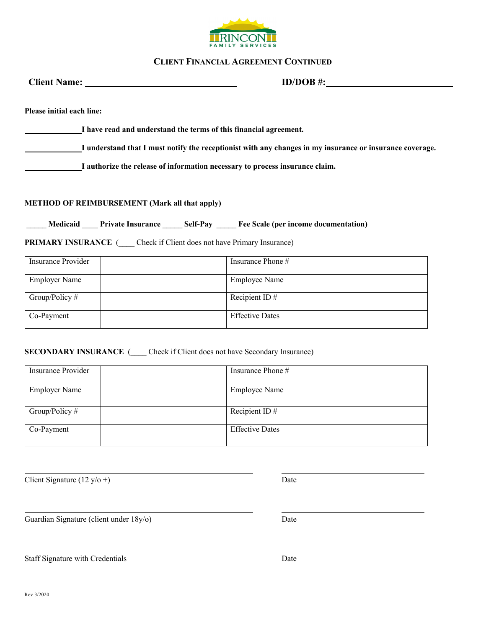

# **CLIENT FINANCIAL AGREEMENT CONTINUED**

|                           |                                                                              | $ID/DOB$ #:            |                                                                                                          |  |
|---------------------------|------------------------------------------------------------------------------|------------------------|----------------------------------------------------------------------------------------------------------|--|
| Please initial each line: |                                                                              |                        |                                                                                                          |  |
|                           | I have read and understand the terms of this financial agreement.            |                        |                                                                                                          |  |
|                           |                                                                              |                        | I understand that I must notify the receptionist with any changes in my insurance or insurance coverage. |  |
|                           | I authorize the release of information necessary to process insurance claim. |                        |                                                                                                          |  |
|                           |                                                                              |                        |                                                                                                          |  |
|                           | <b>METHOD OF REIMBURSEMENT (Mark all that apply)</b>                         |                        |                                                                                                          |  |
|                           | Medicaid Private Insurance Self-Pay Fee Scale (per income documentation)     |                        |                                                                                                          |  |
|                           | <b>PRIMARY INSURANCE</b> (Check if Client does not have Primary Insurance)   |                        |                                                                                                          |  |
| <b>Insurance Provider</b> |                                                                              | Insurance Phone #      |                                                                                                          |  |
| <b>Employer Name</b>      |                                                                              | <b>Employee Name</b>   |                                                                                                          |  |
| Group/Policy #            |                                                                              | Recipient ID#          |                                                                                                          |  |
| Co-Payment                |                                                                              | <b>Effective Dates</b> |                                                                                                          |  |
|                           |                                                                              |                        |                                                                                                          |  |

# **SECONDARY INSURANCE** ( \_\_\_\_ Check if Client does not have Secondary Insurance)

Client Signature  $(12 y/\sigma)$  Date

Guardian Signature (client under 18y/o) Date

Staff Signature with Credentials Date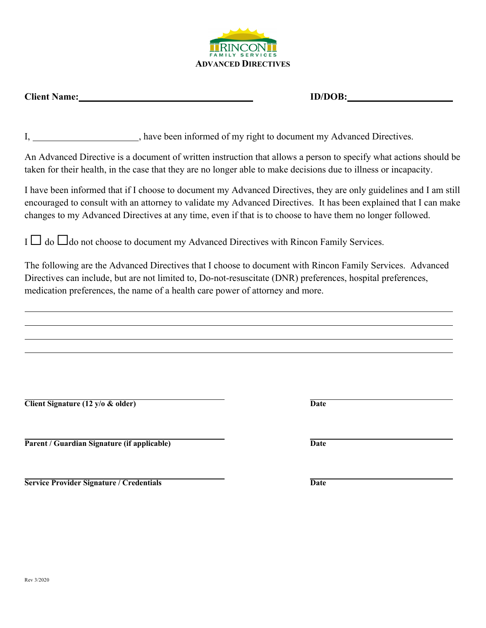

**Client Name:** ID/DOB: ID/DOB:

I, 1. All the been informed of my right to document my Advanced Directives.

An Advanced Directive is a document of written instruction that allows a person to specify what actions should be taken for their health, in the case that they are no longer able to make decisions due to illness or incapacity.

I have been informed that if I choose to document my Advanced Directives, they are only guidelines and I am still encouraged to consult with an attorney to validate my Advanced Directives. It has been explained that I can make changes to my Advanced Directives at any time, even if that is to choose to have them no longer followed.

 $I \Box$  do  $\Box$  do not choose to document my Advanced Directives with Rincon Family Services.

The following are the Advanced Directives that I choose to document with Rincon Family Services. Advanced Directives can include, but are not limited to, Do-not-resuscitate (DNR) preferences, hospital preferences, medication preferences, the name of a health care power of attorney and more.

**Client Signature (12 y/o & older) Date**

**Parent / Guardian Signature (if applicable) Date**

**Service Provider Signature / Credentials Date**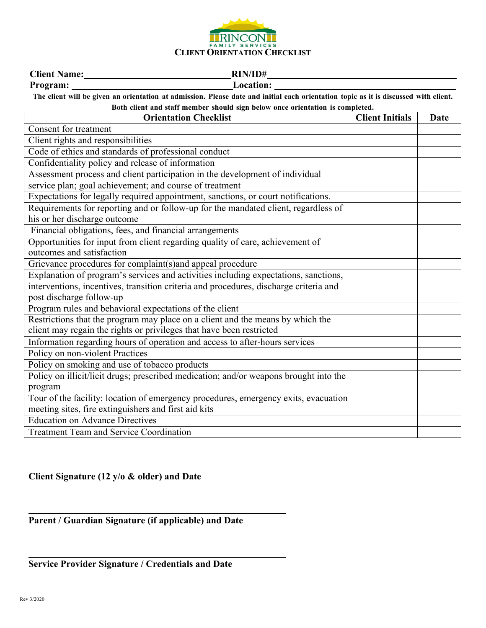

**Client Name: RIN/ID#**

Program: Location:

The client will be given an orientation at admission. Please date and initial each orientation topic as it is discussed with client.

**Both client and staff member should sign below once orientation is completed.**

| <b>Orientation Checklist</b>                                                          | <b>Client Initials</b> | <b>Date</b> |
|---------------------------------------------------------------------------------------|------------------------|-------------|
| Consent for treatment                                                                 |                        |             |
| Client rights and responsibilities                                                    |                        |             |
| Code of ethics and standards of professional conduct                                  |                        |             |
| Confidentiality policy and release of information                                     |                        |             |
| Assessment process and client participation in the development of individual          |                        |             |
| service plan; goal achievement; and course of treatment                               |                        |             |
| Expectations for legally required appointment, sanctions, or court notifications.     |                        |             |
| Requirements for reporting and or follow-up for the mandated client, regardless of    |                        |             |
| his or her discharge outcome                                                          |                        |             |
| Financial obligations, fees, and financial arrangements                               |                        |             |
| Opportunities for input from client regarding quality of care, achievement of         |                        |             |
| outcomes and satisfaction                                                             |                        |             |
| Grievance procedures for complaint(s) and appeal procedure                            |                        |             |
| Explanation of program's services and activities including expectations, sanctions,   |                        |             |
| interventions, incentives, transition criteria and procedures, discharge criteria and |                        |             |
| post discharge follow-up                                                              |                        |             |
| Program rules and behavioral expectations of the client                               |                        |             |
| Restrictions that the program may place on a client and the means by which the        |                        |             |
| client may regain the rights or privileges that have been restricted                  |                        |             |
| Information regarding hours of operation and access to after-hours services           |                        |             |
| Policy on non-violent Practices                                                       |                        |             |
| Policy on smoking and use of tobacco products                                         |                        |             |
| Policy on illicit/licit drugs; prescribed medication; and/or weapons brought into the |                        |             |
| program                                                                               |                        |             |
| Tour of the facility: location of emergency procedures, emergency exits, evacuation   |                        |             |
| meeting sites, fire extinguishers and first aid kits                                  |                        |             |
| <b>Education on Advance Directives</b>                                                |                        |             |
| <b>Treatment Team and Service Coordination</b>                                        |                        |             |

**Client Signature (12 y/o & older) and Date**

**Parent / Guardian Signature (if applicable) and Date**

**Service Provider Signature / Credentials and Date**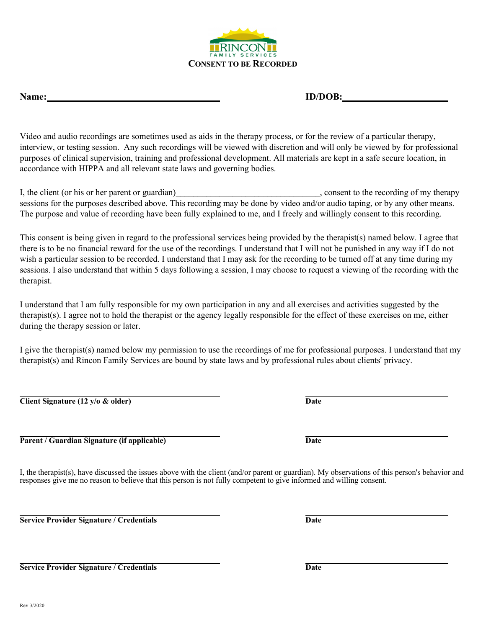**CONSENT TO BE RECORDED**

Name: ID/DOB:

Video and audio recordings are sometimes used as aids in the therapy process, or for the review of a particular therapy, interview, or testing session. Any such recordings will be viewed with discretion and will only be viewed by for professional purposes of clinical supervision, training and professional development. All materials are kept in a safe secure location, in accordance with HIPPA and all relevant state laws and governing bodies.

I, the client (or his or her parent or guardian) consent to the recording of my therapy sessions for the purposes described above. This recording may be done by video and/or audio taping, or by any other means. The purpose and value of recording have been fully explained to me, and I freely and willingly consent to this recording.

This consent is being given in regard to the professional services being provided by the therapist(s) named below. I agree that there is to be no financial reward for the use of the recordings. I understand that I will not be punished in any way if I do not wish a particular session to be recorded. I understand that I may ask for the recording to be turned off at any time during my sessions. I also understand that within 5 days following a session, I may choose to request a viewing of the recording with the therapist.

I understand that I am fully responsible for my own participation in any and all exercises and activities suggested by the therapist(s). I agree not to hold the therapist or the agency legally responsible for the effect of these exercises on me, either during the therapy session or later.

I give the therapist(s) named below my permission to use the recordings of me for professional purposes. I understand that my therapist(s) and Rincon Family Services are bound by state laws and by professional rules about clients' privacy.

**Client Signature (12 y/o & older) Date**

**Parent** / **Guardian Signature (if applicable) Date** 

I, the therapist(s), have discussed the issues above with the client (and/or parent or guardian). My observations of this person's behavior and responses give me no reason to believe that this person is not fully competent to give informed and willing consent.

**Service Provider Signature / Credentials Date**

**Service Provider Signature / Credentials Date**